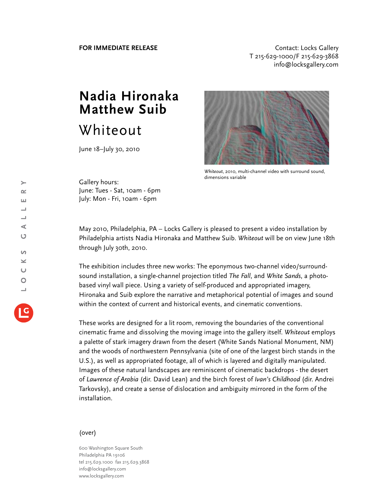**FOR IMMEDIATE RELEASE CONTACT EXAMPLE ASSESS** T 215-629-1000/F 215-629-3868 info@locksgallery.com

## **Nadia Hironaka Matthew Suib** Whiteout

June 18–July 30, 2010



*Whiteout*, 2010, multi-channel video with surround sound, dimensions variable

Gallery hours: June: Tues - Sat, 10am - 6pm July: Mon - Fri, 10am - 6pm

May 2010, Philadelphia, PA – Locks Gallery is pleased to present a video installation by Philadelphia artists Nadia Hironaka and Matthew Suib. *Whiteout* will be on view June 18th through July 30th, 2010.

The exhibition includes three new works: The eponymous two-channel video/surroundsound installation, a single-channel projection titled *The Fall*, and *White Sands*, a photobased vinyl wall piece. Using a variety of self-produced and appropriated imagery, Hironaka and Suib explore the narrative and metaphorical potential of images and sound within the context of current and historical events, and cinematic conventions.

These works are designed for a lit room, removing the boundaries of the conventional cinematic frame and dissolving the moving image into the gallery itself. *Whiteout* employs a palette of stark imagery drawn from the desert (White Sands National Monument, NM) and the woods of northwestern Pennsylvania (site of one of the largest birch stands in the U.S.), as well as appropriated footage, all of which is layered and digitally manipulated. Images of these natural landscapes are reminiscent of cinematic backdrops - the desert of *Lawrence of Arabia* (dir. David Lean) and the birch forest of *Ivan's Childhood* (dir. Andrei Tarkovsky), and create a sense of dislocation and ambiguity mirrored in the form of the installation.

## (over)

600 Washington Square South Philadelphia PA 19106 tel 215.629.1000 fax 215.629.3868 info@locksgallery.com www.locksgallery.com

 $\rightarrow$